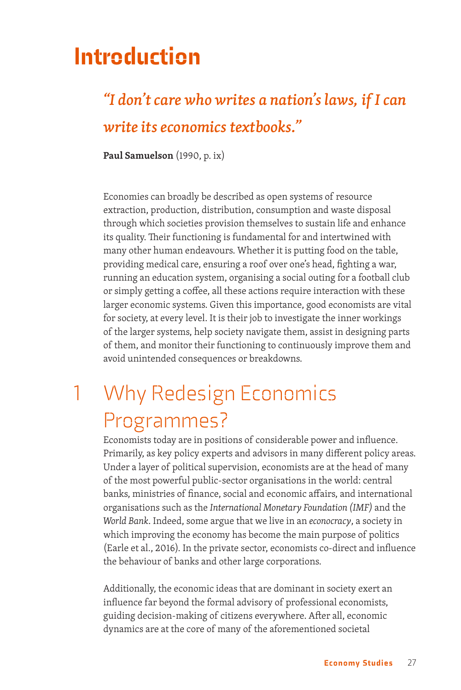# Introduction

#### *"I don't care who writes a nation's laws, if I can write its economics textbooks."*

**Paul Samuelson** (1990, p. ix)

Economies can broadly be described as open systems of resource extraction, production, distribution, consumption and waste disposal through which societies provision themselves to sustain life and enhance its quality. Their functioning is fundamental for and intertwined with many other human endeavours. Whether it is putting food on the table, providing medical care, ensuring a roof over one's head, fighting a war, running an education system, organising a social outing for a football club or simply getting a coffee, all these actions require interaction with these larger economic systems. Given this importance, good economists are vital for society, at every level. It is their job to investigate the inner workings of the larger systems, help society navigate them, assist in designing parts of them, and monitor their functioning to continuously improve them and avoid unintended consequences or breakdowns.

## 1 Why Redesign Economics Programmes?

Economists today are in positions of considerable power and influence. Primarily, as key policy experts and advisors in many different policy areas. Under a layer of political supervision, economists are at the head of many of the most powerful public-sector organisations in the world: central banks, ministries of finance, social and economic affairs, and international organisations such as the *International Monetary Foundation (IMF)* and the *World Bank*. Indeed, some argue that we live in an *econocracy*, a society in which improving the economy has become the main purpose of politics (Earle et al., 2016). In the private sector, economists co-direct and influence the behaviour of banks and other large corporations.

Additionally, the economic ideas that are dominant in society exert an influence far beyond the formal advisory of professional economists, guiding decision-making of citizens everywhere. After all, economic dynamics are at the core of many of the aforementioned societal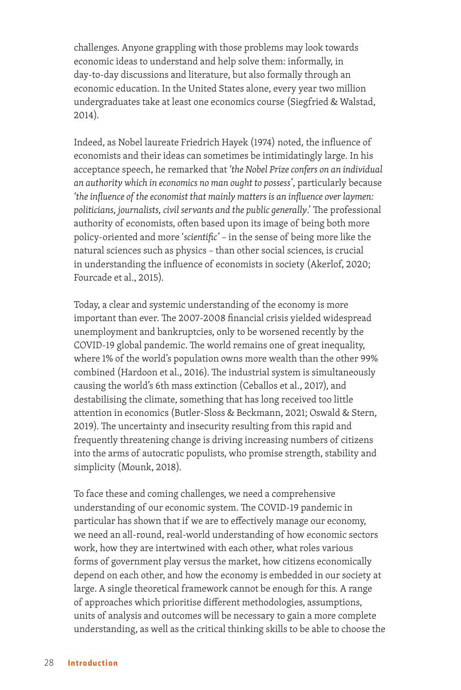challenges. Anyone grappling with those problems may look towards economic ideas to understand and help solve them: informally, in day-to-day discussions and literature, but also formally through an economic education. In the United States alone, every year two million undergraduates take at least one economics course (Siegfried & Walstad, 2014).

Indeed, as Nobel laureate Friedrich Hayek (1974) noted, the influence of economists and their ideas can sometimes be intimidatingly large. In his acceptance speech, he remarked that *'the Nobel Prize confers on an individual an authority which in economics no man ought to possess'*, particularly because *'the influence of the economist that mainly matters is an influence over laymen: politicians, journalists, civil servants and the public generally*.' The professional authority of economists, often based upon its image of being both more policy-oriented and more '*scientific'* – in the sense of being more like the natural sciences such as physics – than other social sciences, is crucial in understanding the influence of economists in society (Akerlof, 2020; Fourcade et al., 2015).

Today, a clear and systemic understanding of the economy is more important than ever. The 2007-2008 financial crisis yielded widespread unemployment and bankruptcies, only to be worsened recently by the COVID-19 global pandemic. The world remains one of great inequality, where 1% of the world's population owns more wealth than the other 99% combined (Hardoon et al., 2016). The industrial system is simultaneously causing the world's 6th mass extinction (Ceballos et al., 2017), and destabilising the climate, something that has long received too little attention in economics (Butler-Sloss & Beckmann, 2021; Oswald & Stern, 2019). The uncertainty and insecurity resulting from this rapid and frequently threatening change is driving increasing numbers of citizens into the arms of autocratic populists, who promise strength, stability and simplicity (Mounk, 2018).

To face these and coming challenges, we need a comprehensive understanding of our economic system. The COVID-19 pandemic in particular has shown that if we are to effectively manage our economy, we need an all-round, real-world understanding of how economic sectors work, how they are intertwined with each other, what roles various forms of government play versus the market, how citizens economically depend on each other, and how the economy is embedded in our society at large. A single theoretical framework cannot be enough for this. A range of approaches which prioritise different methodologies, assumptions, units of analysis and outcomes will be necessary to gain a more complete understanding, as well as the critical thinking skills to be able to choose the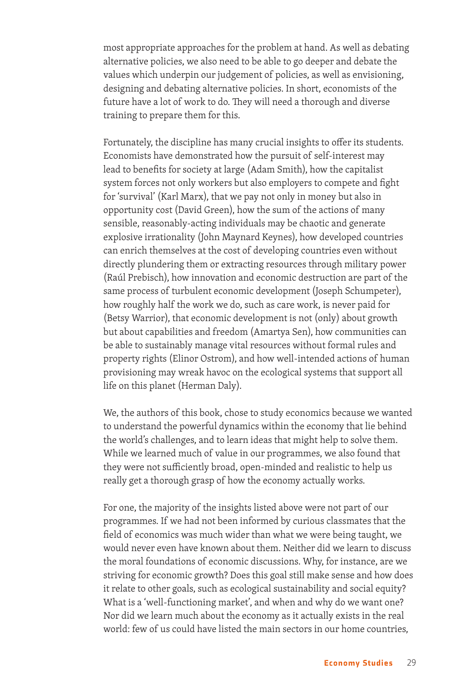most appropriate approaches for the problem at hand. As well as debating alternative policies, we also need to be able to go deeper and debate the values which underpin our judgement of policies, as well as envisioning, designing and debating alternative policies. In short, economists of the future have a lot of work to do. They will need a thorough and diverse training to prepare them for this.

Fortunately, the discipline has many crucial insights to offer its students. Economists have demonstrated how the pursuit of self-interest may lead to benefits for society at large (Adam Smith), how the capitalist system forces not only workers but also employers to compete and fight for 'survival' (Karl Marx), that we pay not only in money but also in opportunity cost (David Green), how the sum of the actions of many sensible, reasonably-acting individuals may be chaotic and generate explosive irrationality (John Maynard Keynes), how developed countries can enrich themselves at the cost of developing countries even without directly plundering them or extracting resources through military power (Raúl Prebisch), how innovation and economic destruction are part of the same process of turbulent economic development (Joseph Schumpeter), how roughly half the work we do, such as care work, is never paid for (Betsy Warrior), that economic development is not (only) about growth but about capabilities and freedom (Amartya Sen), how communities can be able to sustainably manage vital resources without formal rules and property rights (Elinor Ostrom), and how well-intended actions of human provisioning may wreak havoc on the ecological systems that support all life on this planet (Herman Daly).

We, the authors of this book, chose to study economics because we wanted to understand the powerful dynamics within the economy that lie behind the world's challenges, and to learn ideas that might help to solve them. While we learned much of value in our programmes, we also found that they were not sufficiently broad, open-minded and realistic to help us really get a thorough grasp of how the economy actually works.

For one, the majority of the insights listed above were not part of our programmes. If we had not been informed by curious classmates that the field of economics was much wider than what we were being taught, we would never even have known about them. Neither did we learn to discuss the moral foundations of economic discussions. Why, for instance, are we striving for economic growth? Does this goal still make sense and how does it relate to other goals, such as ecological sustainability and social equity? What is a 'well-functioning market', and when and why do we want one? Nor did we learn much about the economy as it actually exists in the real world: few of us could have listed the main sectors in our home countries,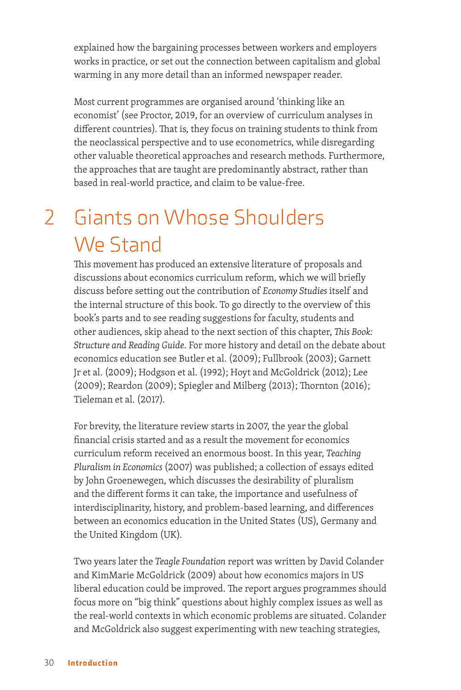explained how the bargaining processes between workers and employers works in practice, or set out the connection between capitalism and global warming in any more detail than an informed newspaper reader.

Most current programmes are organised around 'thinking like an economist' (see Proctor, 2019, for an overview of curriculum analyses in different countries). That is, they focus on training students to think from the neoclassical perspective and to use econometrics, while disregarding other valuable theoretical approaches and research methods. Furthermore, the approaches that are taught are predominantly abstract, rather than based in real-world practice, and claim to be value-free.

# 2 Giants on Whose Shoulders We Stand

This movement has produced an extensive literature of proposals and discussions about economics curriculum reform, which we will briefly discuss before setting out the contribution of *Economy Studies* itself and the internal structure of this book. To go directly to the overview of this book's parts and to see reading suggestions for faculty, students and other audiences, skip ahead to the next section of this chapter, *This Book: Structure and Reading Guide*. For more history and detail on the debate about economics education see Butler et al. (2009); Fullbrook (2003); Garnett Jr et al. (2009); Hodgson et al. (1992); Hoyt and McGoldrick (2012); Lee (2009); Reardon (2009); Spiegler and Milberg (2013); Thornton (2016); Tieleman et al. (2017).

For brevity, the literature review starts in 2007, the year the global financial crisis started and as a result the movement for economics curriculum reform received an enormous boost. In this year, *Teaching Pluralism in Economics* (2007) was published; a collection of essays edited by John Groenewegen, which discusses the desirability of pluralism and the different forms it can take, the importance and usefulness of interdisciplinarity, history, and problem-based learning, and differences between an economics education in the United States (US), Germany and the United Kingdom (UK).

Two years later the *Teagle Foundation* report was written by David Colander and KimMarie McGoldrick (2009) about how economics majors in US liberal education could be improved. The report argues programmes should focus more on "big think" questions about highly complex issues as well as the real-world contexts in which economic problems are situated. Colander and McGoldrick also suggest experimenting with new teaching strategies,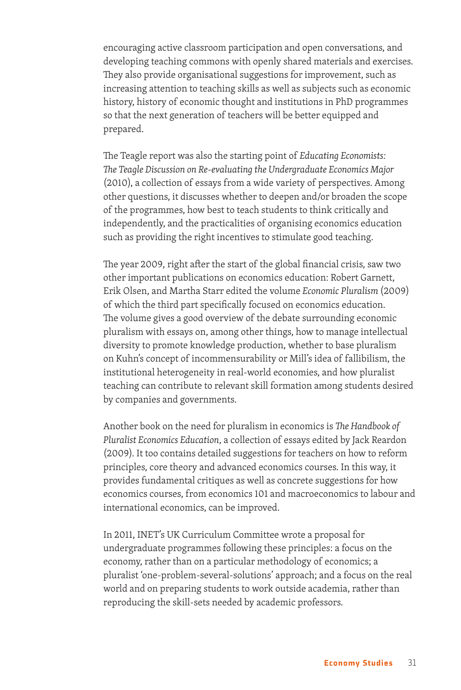encouraging active classroom participation and open conversations, and developing teaching commons with openly shared materials and exercises. They also provide organisational suggestions for improvement, such as increasing attention to teaching skills as well as subjects such as economic history, history of economic thought and institutions in PhD programmes so that the next generation of teachers will be better equipped and prepared.

The Teagle report was also the starting point of *Educating Economists: The Teagle Discussion on Re-evaluating the Undergraduate Economics Major* (2010), a collection of essays from a wide variety of perspectives. Among other questions, it discusses whether to deepen and/or broaden the scope of the programmes, how best to teach students to think critically and independently, and the practicalities of organising economics education such as providing the right incentives to stimulate good teaching.

The year 2009, right after the start of the global financial crisis, saw two other important publications on economics education: Robert Garnett, Erik Olsen, and Martha Starr edited the volume *Economic Pluralism* (2009) of which the third part specifically focused on economics education. The volume gives a good overview of the debate surrounding economic pluralism with essays on, among other things, how to manage intellectual diversity to promote knowledge production, whether to base pluralism on Kuhn's concept of incommensurability or Mill's idea of fallibilism, the institutional heterogeneity in real-world economies, and how pluralist teaching can contribute to relevant skill formation among students desired by companies and governments.

Another book on the need for pluralism in economics is *The Handbook of Pluralist Economics Education*, a collection of essays edited by Jack Reardon (2009). It too contains detailed suggestions for teachers on how to reform principles, core theory and advanced economics courses. In this way, it provides fundamental critiques as well as concrete suggestions for how economics courses, from economics 101 and macroeconomics to labour and international economics, can be improved.

In 2011, INET's UK Curriculum Committee wrote a proposal for undergraduate programmes following these principles: a focus on the economy, rather than on a particular methodology of economics; a pluralist 'one-problem-several-solutions' approach; and a focus on the real world and on preparing students to work outside academia, rather than reproducing the skill-sets needed by academic professors.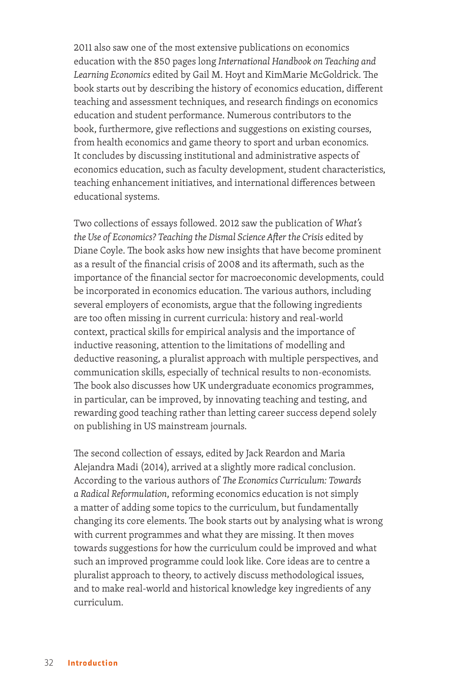2011 also saw one of the most extensive publications on economics education with the 850 pages long *International Handbook on Teaching and Learning Economics* edited by Gail M. Hoyt and KimMarie McGoldrick. The book starts out by describing the history of economics education, different teaching and assessment techniques, and research findings on economics education and student performance. Numerous contributors to the book, furthermore, give reflections and suggestions on existing courses, from health economics and game theory to sport and urban economics. It concludes by discussing institutional and administrative aspects of economics education, such as faculty development, student characteristics, teaching enhancement initiatives, and international differences between educational systems.

Two collections of essays followed. 2012 saw the publication of *What's the Use of Economics? Teaching the Dismal Science After the Crisis* edited by Diane Coyle. The book asks how new insights that have become prominent as a result of the financial crisis of 2008 and its aftermath, such as the importance of the financial sector for macroeconomic developments, could be incorporated in economics education. The various authors, including several employers of economists, argue that the following ingredients are too often missing in current curricula: history and real-world context, practical skills for empirical analysis and the importance of inductive reasoning, attention to the limitations of modelling and deductive reasoning, a pluralist approach with multiple perspectives, and communication skills, especially of technical results to non-economists. The book also discusses how UK undergraduate economics programmes, in particular, can be improved, by innovating teaching and testing, and rewarding good teaching rather than letting career success depend solely on publishing in US mainstream journals.

The second collection of essays, edited by Jack Reardon and Maria Alejandra Madi (2014), arrived at a slightly more radical conclusion. According to the various authors of *The Economics Curriculum: Towards a Radical Reformulation*, reforming economics education is not simply a matter of adding some topics to the curriculum, but fundamentally changing its core elements. The book starts out by analysing what is wrong with current programmes and what they are missing. It then moves towards suggestions for how the curriculum could be improved and what such an improved programme could look like. Core ideas are to centre a pluralist approach to theory, to actively discuss methodological issues, and to make real-world and historical knowledge key ingredients of any curriculum.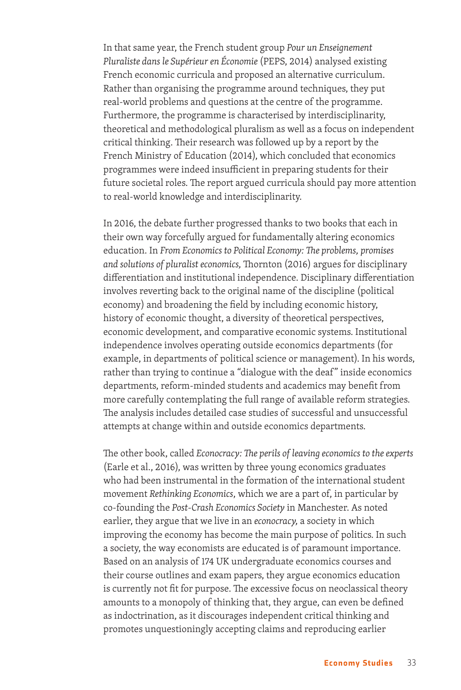In that same year, the French student group *Pour un Enseignement Pluraliste dans le Supérieur en Économie* (PEPS, 2014) analysed existing French economic curricula and proposed an alternative curriculum. Rather than organising the programme around techniques, they put real-world problems and questions at the centre of the programme. Furthermore, the programme is characterised by interdisciplinarity, theoretical and methodological pluralism as well as a focus on independent critical thinking. Their research was followed up by a report by the French Ministry of Education (2014), which concluded that economics programmes were indeed insufficient in preparing students for their future societal roles. The report argued curricula should pay more attention to real-world knowledge and interdisciplinarity.

In 2016, the debate further progressed thanks to two books that each in their own way forcefully argued for fundamentally altering economics education. In *From Economics to Political Economy: The problems, promises and solutions of pluralist economics,* Thornton (2016) argues for disciplinary differentiation and institutional independence. Disciplinary differentiation involves reverting back to the original name of the discipline (political economy) and broadening the field by including economic history, history of economic thought, a diversity of theoretical perspectives, economic development, and comparative economic systems. Institutional independence involves operating outside economics departments (for example, in departments of political science or management). In his words, rather than trying to continue a "dialogue with the deaf" inside economics departments, reform-minded students and academics may benefit from more carefully contemplating the full range of available reform strategies. The analysis includes detailed case studies of successful and unsuccessful attempts at change within and outside economics departments.

The other book, called *Econocracy: The perils of leaving economics to the experts*  (Earle et al., 2016), was written by three young economics graduates who had been instrumental in the formation of the international student movement *Rethinking Economics*, which we are a part of, in particular by co-founding the *Post-Crash Economics Society* in Manchester. As noted earlier, they argue that we live in an *econocracy,* a society in which improving the economy has become the main purpose of politics. In such a society, the way economists are educated is of paramount importance. Based on an analysis of 174 UK undergraduate economics courses and their course outlines and exam papers, they argue economics education is currently not fit for purpose. The excessive focus on neoclassical theory amounts to a monopoly of thinking that, they argue, can even be defined as indoctrination, as it discourages independent critical thinking and promotes unquestioningly accepting claims and reproducing earlier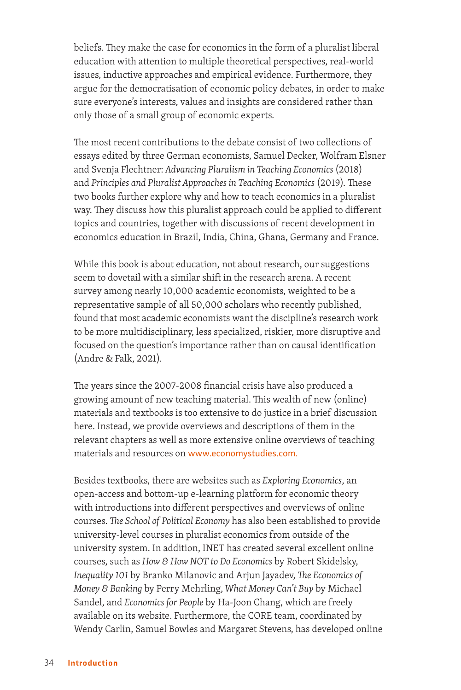beliefs. They make the case for economics in the form of a pluralist liberal education with attention to multiple theoretical perspectives, real-world issues, inductive approaches and empirical evidence. Furthermore, they argue for the democratisation of economic policy debates, in order to make sure everyone's interests, values and insights are considered rather than only those of a small group of economic experts.

The most recent contributions to the debate consist of two collections of essays edited by three German economists, Samuel Decker, Wolfram Elsner and Svenja Flechtner: *Advancing Pluralism in Teaching Economics* (2018) and *Principles and Pluralist Approaches in Teaching Economics* (2019). These two books further explore why and how to teach economics in a pluralist way. They discuss how this pluralist approach could be applied to different topics and countries, together with discussions of recent development in economics education in Brazil, India, China, Ghana, Germany and France.

While this book is about education, not about research, our suggestions seem to dovetail with a similar shift in the research arena. A recent survey among nearly 10,000 academic economists, weighted to be a representative sample of all 50,000 scholars who recently published, found that most academic economists want the discipline's research work to be more multidisciplinary, less specialized, riskier, more disruptive and focused on the question's importance rather than on causal identification (Andre & Falk, 2021).

The years since the 2007-2008 financial crisis have also produced a growing amount of new teaching material. This wealth of new (online) materials and textbooks is too extensive to do justice in a brief discussion here. Instead, we provide overviews and descriptions of them in the relevant chapters as well as more extensive online overviews of teaching materials and resources on www.economystudies.com.

Besides textbooks, there are websites such as *Exploring Economics*, an open-access and bottom-up e-learning platform for economic theory with introductions into different perspectives and overviews of online courses. *The School of Political Economy* has also been established to provide university-level courses in pluralist economics from outside of the university system. In addition, INET has created several excellent online courses, such as *How & How NOT to Do Economics* by Robert Skidelsky, *Inequality 101* by Branko Milanovic and Arjun Jayadev, *The Economics of Money & Banking* by Perry Mehrling, *What Money Can't Buy* by Michael Sandel, and *Economics for People* by Ha-Joon Chang, which are freely available on its website. Furthermore, the CORE team, coordinated by Wendy Carlin, Samuel Bowles and Margaret Stevens, has developed online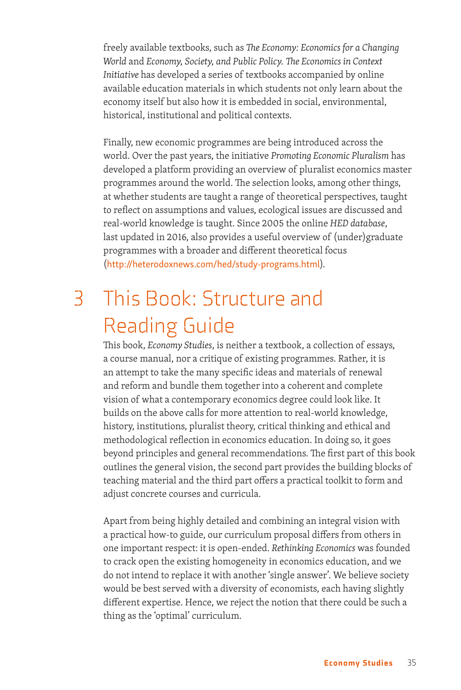freely available textbooks, such as *The Economy: Economics for a Changing World* and *Economy, Society, and Public Policy. The Economics in Context Initiative* has developed a series of textbooks accompanied by online available education materials in which students not only learn about the economy itself but also how it is embedded in social, environmental, historical, institutional and political contexts.

Finally, new economic programmes are being introduced across the world. Over the past years, the initiative *Promoting Economic Pluralism* has developed a platform providing an overview of pluralist economics master programmes around the world. The selection looks, among other things, at whether students are taught a range of theoretical perspectives, taught to reflect on assumptions and values, ecological issues are discussed and real-world knowledge is taught. Since 2005 the online *HED database*, last updated in 2016, also provides a useful overview of (under)graduate programmes with a broader and different theoretical focus (http://heterodoxnews.com/hed/study-programs.html).

### 3 This Book: Structure and Reading Guide

This book, *Economy Studies*, is neither a textbook, a collection of essays, a course manual, nor a critique of existing programmes. Rather, it is an attempt to take the many specific ideas and materials of renewal and reform and bundle them together into a coherent and complete vision of what a contemporary economics degree could look like. It builds on the above calls for more attention to real-world knowledge, history, institutions, pluralist theory, critical thinking and ethical and methodological reflection in economics education. In doing so, it goes beyond principles and general recommendations. The first part of this book outlines the general vision, the second part provides the building blocks of teaching material and the third part offers a practical toolkit to form and adjust concrete courses and curricula.

Apart from being highly detailed and combining an integral vision with a practical how-to guide, our curriculum proposal differs from others in one important respect: it is open-ended. *Rethinking Economics* was founded to crack open the existing homogeneity in economics education, and we do not intend to replace it with another 'single answer'. We believe society would be best served with a diversity of economists, each having slightly different expertise. Hence, we reject the notion that there could be such a thing as the 'optimal' curriculum.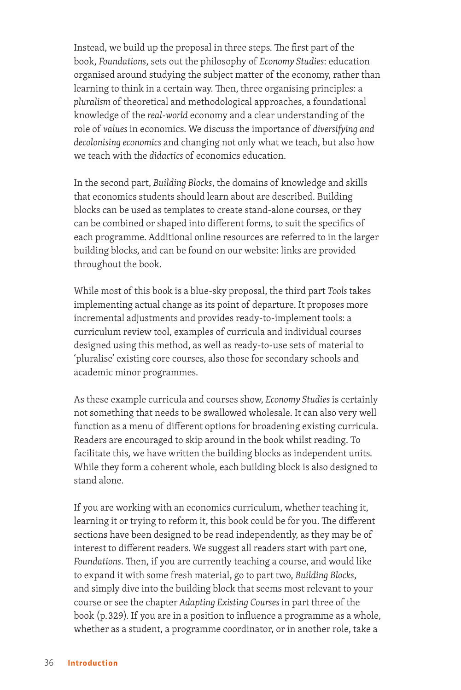Instead, we build up the proposal in three steps. The first part of the book, *Foundations*, sets out the philosophy of *Economy Studies*: education organised around studying the subject matter of the economy, rather than learning to think in a certain way. Then, three organising principles: a *pluralism* of theoretical and methodological approaches, a foundational knowledge of the *real-world* economy and a clear understanding of the role of *values* in economics. We discuss the importance of *diversifying and decolonising economics* and changing not only what we teach, but also how we teach with the *didactics* of economics education.

In the second part, *Building Blocks*, the domains of knowledge and skills that economics students should learn about are described. Building blocks can be used as templates to create stand-alone courses, or they can be combined or shaped into different forms, to suit the specifics of each programme. Additional online resources are referred to in the larger building blocks, and can be found on our website: links are provided throughout the book.

While most of this book is a blue-sky proposal, the third part *Tools* takes implementing actual change as its point of departure. It proposes more incremental adjustments and provides ready-to-implement tools: a curriculum review tool, examples of curricula and individual courses designed using this method, as well as ready-to-use sets of material to 'pluralise' existing core courses, also those for secondary schools and academic minor programmes.

As these example curricula and courses show, *Economy Studies* is certainly not something that needs to be swallowed wholesale. It can also very well function as a menu of different options for broadening existing curricula. Readers are encouraged to skip around in the book whilst reading. To facilitate this, we have written the building blocks as independent units. While they form a coherent whole, each building block is also designed to stand alone.

If you are working with an economics curriculum, whether teaching it, learning it or trying to reform it, this book could be for you. The different sections have been designed to be read independently, as they may be of interest to different readers. We suggest all readers start with part one, *Foundations*. Then, if you are currently teaching a course, and would like to expand it with some fresh material, go to part two, *Building Blocks*, and simply dive into the building block that seems most relevant to your course or see the chapter *Adapting Existing Courses* in part three of the book (p. 329). If you are in a position to influence a programme as a whole, whether as a student, a programme coordinator, or in another role, take a